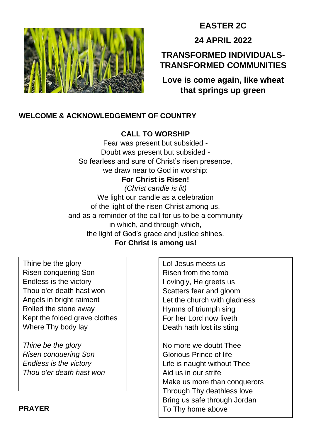

# **EASTER 2C**

**24 APRIL 2022**

# **TRANSFORMED INDIVIDUALS-TRANSFORMED COMMUNITIES**

**Love is come again, like wheat that springs up green**

# **WELCOME & ACKNOWLEDGEMENT OF COUNTRY**

# **CALL TO WORSHIP**

Fear was present but subsided - Doubt was present but subsided - So fearless and sure of Christ's risen presence, we draw near to God in worship: **For Christ is Risen!** *(Christ candle is lit)* We light our candle as a celebration of the light of the risen Christ among us, and as a reminder of the call for us to be a community in which, and through which, the light of God's grace and justice shines. **For Christ is among us!**

Thine be the glory Risen conquering Son Endless is the victory Thou o'er death hast won Angels in bright raiment Rolled the stone away Kept the folded grave clothes Where Thy body lay

*Thine be the glory Risen conquering Son Endless is the victory Thou o'er death hast won*

Lo! Jesus meets us Risen from the tomb Lovingly, He greets us Scatters fear and gloom Let the church with gladness Hymns of triumph sing For her Lord now liveth Death hath lost its sting

No more we doubt Thee Glorious Prince of life Life is naught without Thee Aid us in our strife Make us more than conquerors Through Thy deathless love Bring us safe through Jordan To Thy home above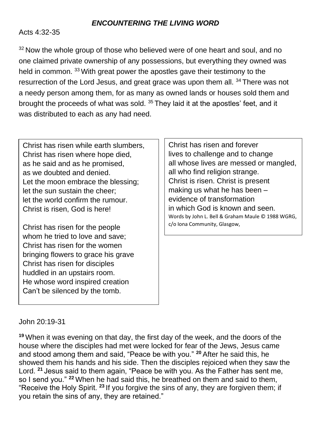## *ENCOUNTERING THE LIVING WORD*

#### Acts 4:32-35

<sup>32</sup> Now the whole group of those who believed were of one heart and soul, and no one claimed private ownership of any possessions, but everything they owned was held in common. <sup>33</sup> With great power the apostles gave their testimony to the resurrection of the Lord Jesus, and great grace was upon them all. <sup>34</sup> There was not a needy person among them, for as many as owned lands or houses sold them and brought the proceeds of what was sold.<sup>35</sup> They laid it at the apostles' feet, and it was distributed to each as any had need.

Christ has risen while earth slumbers, Christ has risen where hope died, as he said and as he promised, as we doubted and denied. Let the moon embrace the blessing; let the sun sustain the cheer; let the world confirm the rumour. Christ is risen, God is here!

Christ has risen for the people whom he tried to love and save; Christ has risen for the women bringing flowers to grace his grave Christ has risen for disciples huddled in an upstairs room. He whose word inspired creation Can't be silenced by the tomb.

Christ has risen and forever lives to challenge and to change all whose lives are messed or mangled, all who find religion strange. Christ is risen. Christ is present making us what he has been – evidence of transformation in which God is known and seen. Words by John L. Bell & Graham Maule © 1988 WGRG, c/o Iona Community, Glasgow,

#### John 20:19-31

**<sup>19</sup>** When it was evening on that day, the first day of the week, and the doors of the house where the disciples had met were locked for fear of the Jews, Jesus came and stood among them and said, "Peace be with you." **<sup>20</sup>** After he said this, he showed them his hands and his side. Then the disciples rejoiced when they saw the Lord. **<sup>21</sup>** Jesus said to them again, "Peace be with you. As the Father has sent me, so I send you." **<sup>22</sup>** When he had said this, he breathed on them and said to them, "Receive the Holy Spirit. **<sup>23</sup>** If you forgive the sins of any, they are forgiven them; if you retain the sins of any, they are retained."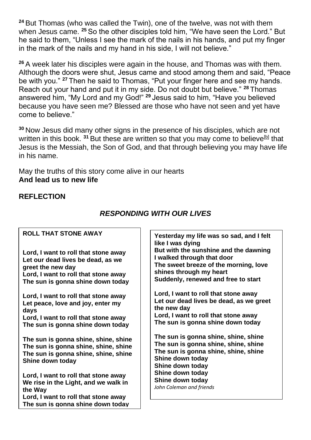**<sup>24</sup>** But Thomas (who was called the Twin), one of the twelve, was not with them when Jesus came. **<sup>25</sup>** So the other disciples told him, "We have seen the Lord." But he said to them, "Unless I see the mark of the nails in his hands, and put my finger in the mark of the nails and my hand in his side, I will not believe."

**<sup>26</sup>** A week later his disciples were again in the house, and Thomas was with them. Although the doors were shut, Jesus came and stood among them and said, "Peace be with you." **<sup>27</sup>** Then he said to Thomas, "Put your finger here and see my hands. Reach out your hand and put it in my side. Do not doubt but believe." **<sup>28</sup>** Thomas answered him, "My Lord and my God!" **<sup>29</sup>** Jesus said to him, "Have you believed because you have seen me? Blessed are those who have not seen and yet have come to believe."

**<sup>30</sup>** Now Jesus did many other signs in the presence of his disciples, which are not written in this book. <sup>31</sup> But these are written so that you may come to believe<sup>[\[b\]](https://www.biblegateway.com/passage/?search=John%2020%3A19-31&version=NRSV#fen-NRSV-26888b)</sup> that Jesus is the Messiah, the Son of God, and that through believing you may have life in his name.

May the truths of this story come alive in our hearts **And lead us to new life** 

# **REFLECTION**

| <b>ROLL THAT STONE AWAY</b>                                                                                                                                                 | Yesterday my life was<br>like I was dying                                                                                                                                           |
|-----------------------------------------------------------------------------------------------------------------------------------------------------------------------------|-------------------------------------------------------------------------------------------------------------------------------------------------------------------------------------|
| Lord, I want to roll that stone away<br>Let our dead lives be dead, as we<br>greet the new day<br>Lord, I want to roll that stone away<br>The sun is gonna shine down today | <b>But with the sunshine</b><br>I walked through that<br>The sweet breeze of tl<br>shines through my he<br>Suddenly, renewed ar                                                     |
| Lord, I want to roll that stone away<br>Let peace, love and joy, enter my<br>days<br>Lord, I want to roll that stone away<br>The sun is gonna shine down today              | Lord, I want to roll tha<br>Let our dead lives be<br>the new day<br>Lord, I want to roll tha<br>The sun is gonna shir                                                               |
| The sun is gonna shine, shine, shine<br>The sun is gonna shine, shine, shine<br>The sun is gonna shine, shine, shine<br>Shine down today                                    | The sun is gonna shir<br>The sun is gonna shir<br>The sun is gonna shir<br>Shine down today<br>Shine down today<br>Shine down today<br>Shine down today<br>John Coleman and friends |
| Lord, I want to roll that stone away<br>We rise in the Light, and we walk in<br>the Way<br>Lord, I want to roll that stone away<br>The sun is gonna shine down today        |                                                                                                                                                                                     |

# *RESPONDING WITH OUR LIVES*

**Yesterday my life was so sad, and I felt and the dawning** door **The morning, love shines through my heart nd free to start** 

**Lorge** away dead, as we greet **Lorge** away **The down today** 

**The Sunne**, shine, **The sun is gonna shine, shine, shine The shine**, shine,